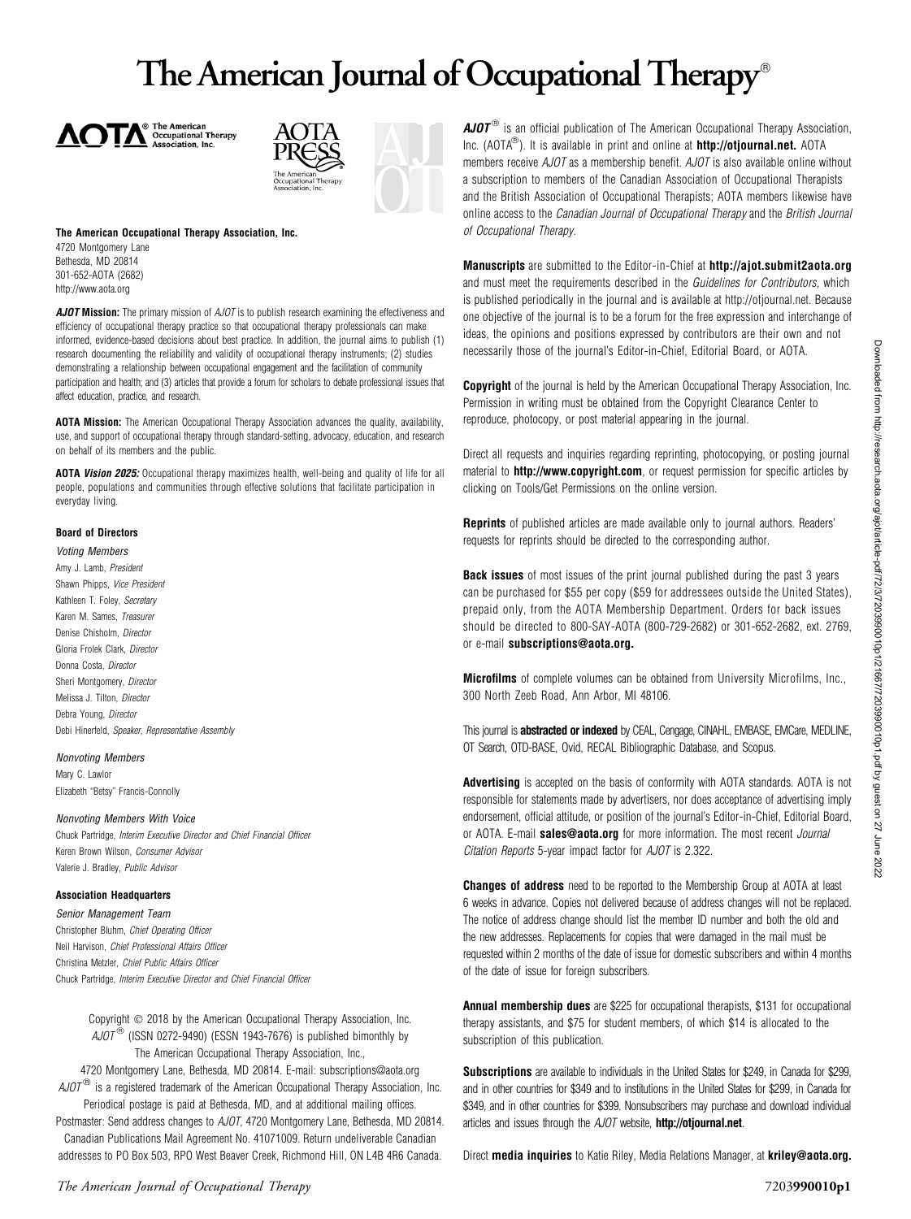# The American Journal of Occupational Therapy<sup>®</sup>





### The American Occupational Therapy Association, Inc. 4720 Montgomery Lane Bethesda, MD 20814 301-652-AOTA (2682) http://www.aota.org

AJOT Mission: The primary mission of AJOT is to publish research examining the effectiveness and efficiency of occupational therapy practice so that occupational therapy professionals can make informed, evidence-based decisions about best practice. In addition, the journal aims to publish (1) research documenting the reliability and validity of occupational therapy instruments; (2) studies demonstrating a relationship between occupational engagement and the facilitation of community participation and health; and (3) articles that provide a forum for scholars to debate professional issues that affect education, practice, and research.

AOTA Mission: The American Occupational Therapy Association advances the quality, availability, use, and support of occupational therapy through standard-setting, advocacy, education, and research on behalf of its members and the public.

AOTA Vision 2025: Occupational therapy maximizes health, well-being and quality of life for all people, populations and communities through effective solutions that facilitate participation in everyday living.

### Board of Directors

young members<br>Amy J. Lamb, *Presiden*t Shawn Phipps, Vice President Kathleen T. Foley, Secretary Karen M. Sames, Treasurer Denise Chisholm, Director Gloria Frolek Clark, Director Donna Costa, Director Sheri Montgomery, Director Melissa J. Tilton, Director Debra Young, Director Debi Hinerfeld, Speaker, Representative Assembly

Nonvoting Members Mary C. Lawlor Elizabeth ''Betsy'' Francis-Connolly

Chuck Partridge, *Interim Executive Director and Chief Financial Officer* Keren Brown Wilson, Consumer Advisor Valerie J. Bradley, Public Advisor

### **Association Headquarters**

**Common Management Team** Neil Harvison, Chief Professional Affairs Officer Christina Metzler, Chief Public Affairs Officer Chuck Partridge, Interim Executive Director and Chief Financial Officer

> Copyright  $\odot$  2018 by the American Occupational Therapy Association, Inc.  $A$ JOT<sup>®</sup> (ISSN 0272-9490) (ESSN 1943-7676) is published bimonthly by The American Occupational Therapy Association, Inc.,

4720 Montgomery Lane, Bethesda, MD 20814. E-mail: subscriptions@aota.org  $A$ JO $T^{(6)}$  is a registered trademark of the American Occupational Therapy Association, Inc.

Periodical postage is paid at Bethesda, MD, and at additional mailing offices. Postmaster: Send address changes to AJOT, 4720 Montgomery Lane, Bethesda, MD 20814. Canadian Publications Mail Agreement No. 41071009. Return undeliverable Canadian addresses to PO Box 503, RPO West Beaver Creek, Richmond Hill, ON L4B 4R6 Canada.

 $AJOT^{\circledast}$  is an official publication of The American Occupational Therapy Association, Inc. (AOTA<sup>®</sup>). It is available in print and online at **http://otjournal.net.** AOTA members receive AJOT as a membership benefit. AJOT is also available online without a subscription to members of the Canadian Association of Occupational Therapists and the British Association of Occupational Therapists; AOTA members likewise have online access to the Canadian Journal of Occupational Therapy and the British Journal of Occupational Therapy.

Manuscripts are submitted to the Editor-in-Chief at http://ajot.submit2aota.org and must meet the requirements described in the Guidelines for Contributors, which is published periodically in the journal and is available at http://otjournal.net. Because one objective of the journal is to be a forum for the free expression and interchange of ideas, the opinions and positions expressed by contributors are their own and not necessarily those of the journal's Editor-in-Chief, Editorial Board, or AOTA.

**Copyright** of the journal is held by the American Occupational Therapy Association, Inc. Permission in writing must be obtained from the Copyright Clearance Center to reproduce, photocopy, or post material appearing in the journal.

Direct all requests and inquiries regarding reprinting, photocopying, or posting journal material to **http://www.copyright.com**, or request permission for specific articles by clicking on Tools/Get Permissions on the online version.

Reprints of published articles are made available only to journal authors. Readers' requests for reprints should be directed to the corresponding author.

**Back issues** of most issues of the print journal published during the past 3 years can be purchased for \$55 per copy (\$59 for addressees outside the United States), prepaid only, from the AOTA Membership Department. Orders for back issues should be directed to 800-SAY-AOTA (800-729-2682) or 301-652-2682, ext. 2769, or e-mail subscriptions@aota.org.

**Microfilms** of complete volumes can be obtained from University Microfilms, Inc., 300 North Zeeb Road, Ann Arbor, MI 48106.

This journal is **abstracted or indexed** by CEAL, Cengage, CINAHL, EMBASE, EMCare, MEDLINE, OT Search, OTD-BASE, Ovid, RECAL Bibliographic Database, and Scopus.

Advertising is accepted on the basis of conformity with AOTA standards. AOTA is not responsible for statements made by advertisers, nor does acceptance of advertising imply endorsement, official attitude, or position of the journal's Editor-in-Chief, Editorial Board, or AOTA. E-mail sales@aota.org for more information. The most recent Journal Citation Reports 5-year impact factor for AJOT is 2.322.

**Changes of address** need to be reported to the Membership Group at AOTA at least 6 weeks in advance. Copies not delivered because of address changes will not be replaced. The notice of address change should list the member ID number and both the old and the new addresses. Replacements for copies that were damaged in the mail must be requested within 2 months of the date of issue for domestic subscribers and within 4 months of the date of issue for foreign subscribers.

Annual membership dues are \$225 for occupational therapists, \$131 for occupational therapy assistants, and \$75 for student members, of which \$14 is allocated to the subscription of this publication.

Subscriptions are available to individuals in the United States for \$249, in Canada for \$299, and in other countries for \$349 and to institutions in the United States for \$299, in Canada for \$349, and in other countries for \$399. Nonsubscribers may purchase and download individual articles and issues through the AJOT website, http://otjournal.net.

Direct media inquiries to Katie Riley, Media Relations Manager, at kriley@aota.org.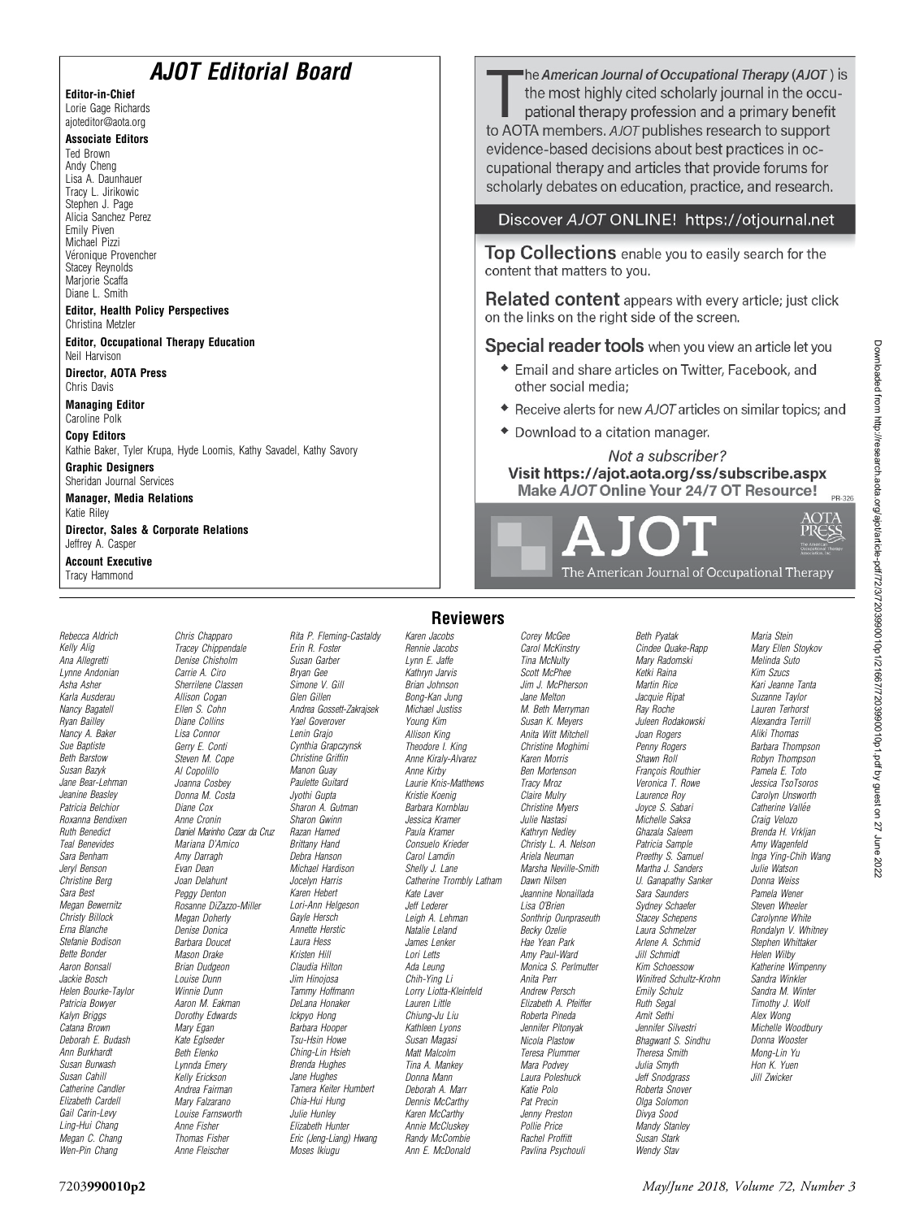| <b>AJOT Editorial Board</b><br><b>Editor-in-Chief</b><br>Lorie Gage Richards<br>ajoteditor@aota.org<br><b>Associate Editors</b><br><b>Ted Brown</b><br>Andy Cheng<br>Lisa A. Daunhauer<br>Tracy L. Jirikowic                                                                           |                                                                           |                                                                         |                                                                  | he American Journal of Occupational Therapy (AJOT ) is<br>the most highly cited scholarly journal in the occu-<br>pational therapy profession and a primary benefit<br>to AOTA members. AJOT publishes research to support<br>evidence-based decisions about best practices in oc-<br>cupational therapy and articles that provide forums for<br>scholarly debates on education, practice, and research. |                                                                         |                                                                |                                                                                                                              |  |  |  |                                                                                                               |  |  |
|----------------------------------------------------------------------------------------------------------------------------------------------------------------------------------------------------------------------------------------------------------------------------------------|---------------------------------------------------------------------------|-------------------------------------------------------------------------|------------------------------------------------------------------|----------------------------------------------------------------------------------------------------------------------------------------------------------------------------------------------------------------------------------------------------------------------------------------------------------------------------------------------------------------------------------------------------------|-------------------------------------------------------------------------|----------------------------------------------------------------|------------------------------------------------------------------------------------------------------------------------------|--|--|--|---------------------------------------------------------------------------------------------------------------|--|--|
| Stephen J. Page<br>Alicia Sanchez Perez<br>Emily Piven                                                                                                                                                                                                                                 |                                                                           |                                                                         |                                                                  | Discover AJOT ONLINE! https://otjournal.net                                                                                                                                                                                                                                                                                                                                                              |                                                                         |                                                                |                                                                                                                              |  |  |  |                                                                                                               |  |  |
| Michael Pizzi<br>Véronique Provencher<br><b>Stacey Reynolds</b><br>Marjorie Scaffa<br>Diane L. Smith<br><b>Editor, Health Policy Perspectives</b><br>Christina Metzler<br><b>Editor, Occupational Therapy Education</b><br>Neil Harvison<br><b>Director, AOTA Press</b><br>Chris Davis |                                                                           |                                                                         |                                                                  | Top Collections enable you to easily search for the<br>content that matters to you.<br>Related content appears with every article; just click<br>on the links on the right side of the screen.<br>Special reader tools when you view an article let you<br>Email and share articles on Twitter, Facebook, and<br>other social media:                                                                     |                                                                         |                                                                |                                                                                                                              |  |  |  |                                                                                                               |  |  |
|                                                                                                                                                                                                                                                                                        |                                                                           |                                                                         |                                                                  |                                                                                                                                                                                                                                                                                                                                                                                                          |                                                                         |                                                                | <b>Managing Editor</b><br>Caroline Polk                                                                                      |  |  |  | ◆ Receive alerts for new AJOT articles on similar topics; and                                                 |  |  |
|                                                                                                                                                                                                                                                                                        |                                                                           |                                                                         |                                                                  |                                                                                                                                                                                                                                                                                                                                                                                                          |                                                                         |                                                                | <b>Copy Editors</b>                                                                                                          |  |  |  | ◆ Download to a citation manager.                                                                             |  |  |
|                                                                                                                                                                                                                                                                                        |                                                                           |                                                                         |                                                                  |                                                                                                                                                                                                                                                                                                                                                                                                          |                                                                         |                                                                | Kathie Baker, Tyler Krupa, Hyde Loomis, Kathy Savadel, Kathy Savory<br><b>Graphic Designers</b><br>Sheridan Journal Services |  |  |  | Not a subscriber?<br>Visit https://ajot.aota.org/ss/subscribe.aspx<br>Make AJOT Online Your 24/7 OT Resource! |  |  |
| <b>Manager, Media Relations</b><br>Katie Riley                                                                                                                                                                                                                                         |                                                                           |                                                                         |                                                                  |                                                                                                                                                                                                                                                                                                                                                                                                          |                                                                         | $PR-3$                                                         |                                                                                                                              |  |  |  |                                                                                                               |  |  |
| Jeffrey A. Casper                                                                                                                                                                                                                                                                      | <b>Director, Sales &amp; Corporate Relations</b>                          |                                                                         |                                                                  |                                                                                                                                                                                                                                                                                                                                                                                                          | AJOT                                                                    |                                                                |                                                                                                                              |  |  |  |                                                                                                               |  |  |
| <b>Account Executive</b><br>Tracy Hammond                                                                                                                                                                                                                                              |                                                                           |                                                                         |                                                                  |                                                                                                                                                                                                                                                                                                                                                                                                          | The American Journal of Occupational Therapy                            |                                                                |                                                                                                                              |  |  |  |                                                                                                               |  |  |
|                                                                                                                                                                                                                                                                                        |                                                                           |                                                                         | <b>Reviewers</b>                                                 |                                                                                                                                                                                                                                                                                                                                                                                                          |                                                                         |                                                                |                                                                                                                              |  |  |  |                                                                                                               |  |  |
| Rebecca Aldrich<br>Kelly Alig<br>Ana Allegretti<br>Lynne Andonian                                                                                                                                                                                                                      | Chris Chapparo<br>Tracey Chippendale<br>Denise Chisholm<br>Carrie A. Ciro | Rita P. Fleming-Castaldy<br>Erin R. Foster<br>Susan Garber<br>Bryan Gee | Karen Jacobs<br>Rennie Jacobs<br>Lynn E. Jaffe<br>Kathryn Jarvis | Corey McGee<br>Carol McKinstry<br>Tina McNulty<br>Scott McPhee                                                                                                                                                                                                                                                                                                                                           | <b>Beth Pyatak</b><br>Cindee Quake-Rapp<br>Mary Radomski<br>Ketki Raina | Maria Stein<br>Mary Ellen Stoykov<br>Melinda Suto<br>Kim Szucs |                                                                                                                              |  |  |  |                                                                                                               |  |  |

Asha Asher Karla Ausderau Nancy Bagatell Ryan Bailley Nancy A. Baker Sue Baptiste Beth Barstow Susan Bazyk Jane Bear-Lehman Jeanine Beasley Patricia Belchior Roxanna Bendixen Ruth Benedict Teal Benevides Sara Benham Jeryl Benson Christine Berg Sara Best Megan Bewernitz Christy Billock Erna Blanche Stefanie Bodison Bette Bonder Aaron Bonsall Jackie Bosch Helen Bourke-Taylor Patricia Bowyer Kalyn Briggs Catana Brown Deborah E. Budash Ann Burkhardt Susan Burwash Susan Cahill Catherine Candler Elizabeth Cardell Gail Carin-Levy Ling-Hui Chang Megan C. Chang Wen-Pin Chang

Sherrilene Classen Allison Cogan Ellen S. Cohn Diane Collins Lisa Connor Gerry E. Conti Steven M. Cope Al Copolillo Joanna Cosbey Donna M. Costa Diane Cox Anne Cronin Daniel Marinho Cezar da Cruz Mariana D'Amico Amy Darragh Evan Dean Joan Delahunt Peggy Denton Rosanne DiZazzo-Miller Megan Doherty Denise Donica Barbara Doucet Mason Drake Brian Dudgeon Louise Dunn Winnie Dunn Aaron M. Eakman Dorothy Edwards Mary Egan Kate Eglseder Beth Elenko Lynnda Emery Kelly Erickson Andrea Fairman Mary Falzarano Louise Farnsworth Anne Fisher Thomas Fisher Anne Fleischer

Simone V. Gill Glen Gillen Andrea Gossett-Zakrajsek Yael Goverover Lenin Grajo Cynthia Grapczynsk Christine Griffin Manon Guay Paulette Guitard Jyothi Gupta Sharon A. Gutman Sharon Gwinn Razan Hamed Brittany Hand Debra Hanson Michael Hardison Jocelyn Harris Karen Hebert Lori-Ann Helgeson Gayle Hersch Annette Herstic Laura Hess Kristen Hill Claudia Hilton Jim Hinojosa Tammy Hoffmann DeLana Honaker Ickpyo Hong Barbara Hooper Tsu-Hsin Howe Ching-Lin Hsieh Brenda Hughes Jane Hughes Tamera Keiter Humbert Chia-Hui Hung Julie Hunley Elizabeth Hunter

Moses Ikiugu

### Eric (Jeng-Liang) Hwang Brian Johnson Bong-Kan Jung Michael Justiss Young Kim Allison King Theodore I. King Anne Kiraly-Alvarez Anne Kirby Kristie Koenig Barbara Kornblau Jessica Kramer Paula Kramer Consuelo Krieder Carol Lamdin Shelly J. Lane Kate Laver Jeff Lederer Leigh A. Lehman Natalie Leland James Lenker Lori Letts Ada Leung Chih-Ying Li Lorry Liotta-Kleinfeld Lauren Little Chiung-Ju Liu Kathleen Lyons Susan Magasi Matt Malcolm Tina A. Mankey Donna Mann Deborah A. Marr Dennis McCarthy Karen McCarthv Annie McCluskey Randy McCombie

Laurie Knis-Matthews Catherine Trombly Latham Ann E. McDonald Tracy Mroz Lisa O'Brien Anita Perr Katie Polo Pat Precin Pollie Price

Jim J. McPherson Jane Melton M. Beth Merryman Susan K. Meyers Anita Witt Mitchell Christine Moghimi Karen Morris Ben Mortenson Claire Mulry Christine Myers Julie Nastasi Kathryn Nedley Christy L. A. Nelson Ariela Neuman Marsha Neville-Smith Dawn Nilsen Jeannine Nonaillada Sonthrip Ounpraseuth Becky Ozelie Hae Yean Park Amy Paul-Ward Monica S. Perlmutter Andrew Persch Elizabeth A. Pfeiffer Roberta Pineda Jennifer Pitonyak Nicola Plastow Teresa Plummer Mara Podvey Laura Poleshuck Jenny Preston Rachel Proffitt Pavlina Psychouli

Martin Rice Jacquie Ripat Ray Roche Juleen Rodakowski Joan Rogers Penny Rogers Shawn Roll François Routhier Veronica T. Rowe Laurence Roy Joyce S. Sabari Michelle Saksa Ghazala Saleem Patricia Sample Preethy S. Samuel Martha J. Sanders U. Ganapathy Sanker Sara Saunders Sydney Schaefer Stacey Schepens Laura Schmelzer Arlene A. Schmid Jill Schmidt Kim Schoessow Winifred Schultz-Krohn Emily Schulz Ruth Segal Amit Sethi Jennifer Silvestri Bhagwant S. Sindhu Theresa Smith Julia Smyth Jeff Snodgrass Roberta Snover Olga Solomon Divya Sood Mandy Stanley Susan Stark

Wendy Stav

py Mary Ellen Stoykov Kari Jeanne Tanta Suzanne Taylor Lauren Terhorst Alexandra Terrill Aliki Thomas Barbara Thompson Robyn Thompson Pamela E. Toto Jessica TsoTsoros Carolyn Unsworth Catherine Vallée Craig Velozo Brenda H. Vrkljan Amy Wagenfeld Inga Ying-Chih Wang Julie Watson Donna Weiss Pamela Wener Steven Wheeler Carolynne White Rondalyn V. Whitney Stephen Whittaker Helen Wilby Katherine Wimpenny Sandra Winkler Sandra M. Winter Timothy J. Wolf Alex Wong Michelle Woodbury Donna Wooster Mong-Lin Yu Hon K. Yuen Jill Zwicker

PR-326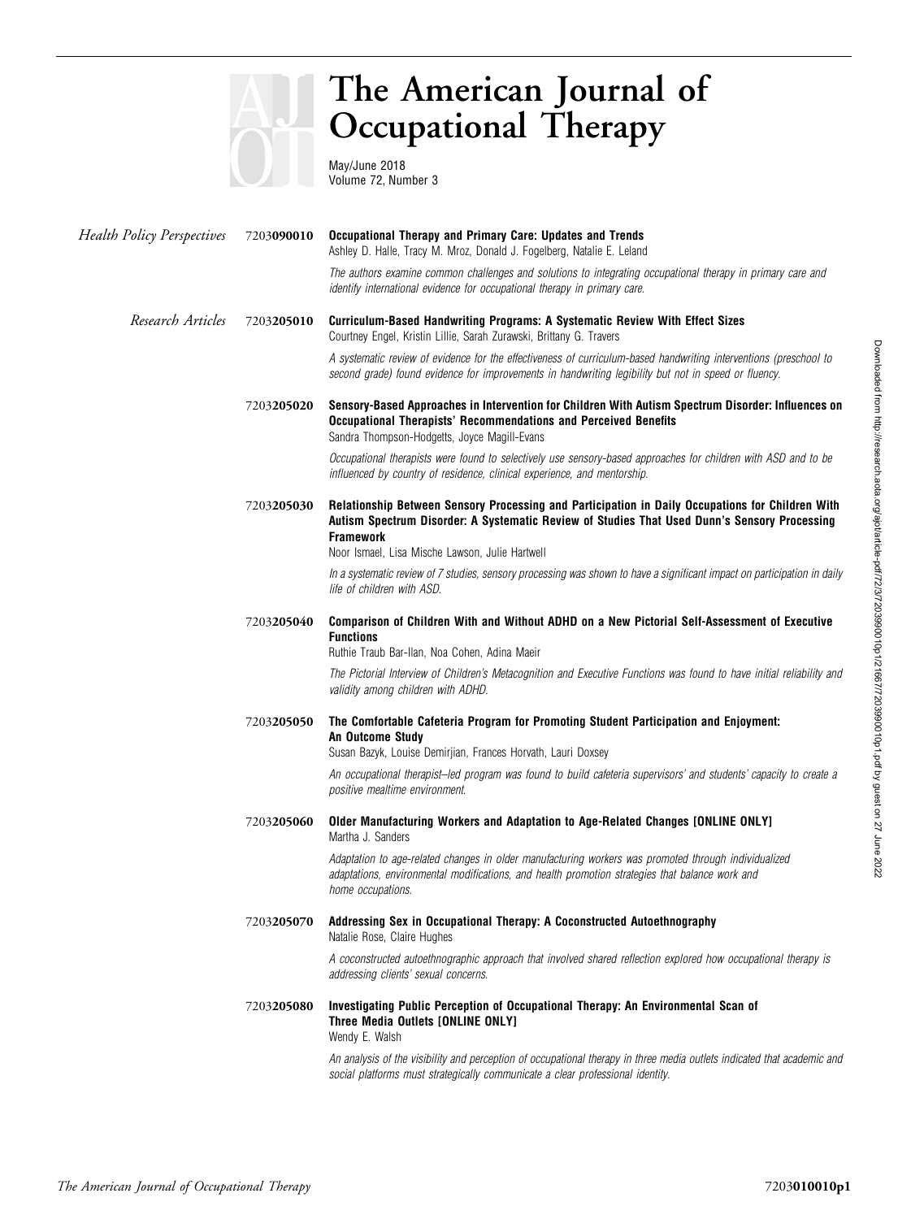

# The American Journal of Occupational Therapy

May/June 2018 Volume 72, Number 3

| <b>Health Policy Perspectives</b> | 7203090010 | Occupational Therapy and Primary Care: Updates and Trends<br>Ashley D. Halle, Tracy M. Mroz, Donald J. Fogelberg, Natalie E. Leland                                                                                                                                     |
|-----------------------------------|------------|-------------------------------------------------------------------------------------------------------------------------------------------------------------------------------------------------------------------------------------------------------------------------|
|                                   |            | The authors examine common challenges and solutions to integrating occupational therapy in primary care and<br>identify international evidence for occupational therapy in primary care.                                                                                |
| Research Articles                 | 7203205010 | Curriculum-Based Handwriting Programs: A Systematic Review With Effect Sizes<br>Courtney Engel, Kristin Lillie, Sarah Zurawski, Brittany G. Travers                                                                                                                     |
|                                   |            | A systematic review of evidence for the effectiveness of curriculum-based handwriting interventions (preschool to<br>second grade) found evidence for improvements in handwriting legibility but not in speed or fluency.                                               |
|                                   | 7203205020 | Sensory-Based Approaches in Intervention for Children With Autism Spectrum Disorder: Influences on<br><b>Occupational Therapists' Recommendations and Perceived Benefits</b><br>Sandra Thompson-Hodgetts, Joyce Magill-Evans                                            |
|                                   |            | Occupational therapists were found to selectively use sensory-based approaches for children with ASD and to be<br>influenced by country of residence, clinical experience, and mentorship.                                                                              |
|                                   | 7203205030 | Relationship Between Sensory Processing and Participation in Daily Occupations for Children With<br>Autism Spectrum Disorder: A Systematic Review of Studies That Used Dunn's Sensory Processing<br><b>Framework</b><br>Noor Ismael, Lisa Mische Lawson, Julie Hartwell |
|                                   |            | In a systematic review of 7 studies, sensory processing was shown to have a significant impact on participation in daily<br>life of children with ASD.                                                                                                                  |
|                                   | 7203205040 | Comparison of Children With and Without ADHD on a New Pictorial Self-Assessment of Executive<br><b>Functions</b><br>Ruthie Traub Bar-Ilan, Noa Cohen, Adina Maeir                                                                                                       |
|                                   |            | The Pictorial Interview of Children's Metacognition and Executive Functions was found to have initial reliability and<br>validity among children with ADHD.                                                                                                             |
|                                   | 7203205050 | The Comfortable Cafeteria Program for Promoting Student Participation and Enjoyment:<br>An Outcome Study<br>Susan Bazyk, Louise Demirjian, Frances Horvath, Lauri Doxsey                                                                                                |
|                                   |            | An occupational therapist–led program was found to build cafeteria supervisors' and students' capacity to create a<br>positive mealtime environment.                                                                                                                    |
|                                   | 7203205060 | Older Manufacturing Workers and Adaptation to Age-Related Changes [ONLINE ONLY]<br>Martha J. Sanders                                                                                                                                                                    |
|                                   |            | Adaptation to age-related changes in older manufacturing workers was promoted through individualized<br>adaptations, environmental modifications, and health promotion strategies that balance work and<br>home occupations.                                            |
|                                   | 7203205070 | Addressing Sex in Occupational Therapy: A Coconstructed Autoethnography<br>Natalie Rose, Claire Hughes                                                                                                                                                                  |
|                                   |            | A coconstructed autoethnographic approach that involved shared reflection explored how occupational therapy is<br>addressing clients' sexual concerns.                                                                                                                  |
|                                   | 7203205080 | Investigating Public Perception of Occupational Therapy: An Environmental Scan of<br>Three Media Outlets [ONLINE ONLY]<br>Wendy E. Walsh                                                                                                                                |
|                                   |            | An analysis of the visibility and perception of occupational therapy in three media outlets indicated that academic and<br>social platforms must strategically communicate a clear professional identity.                                                               |